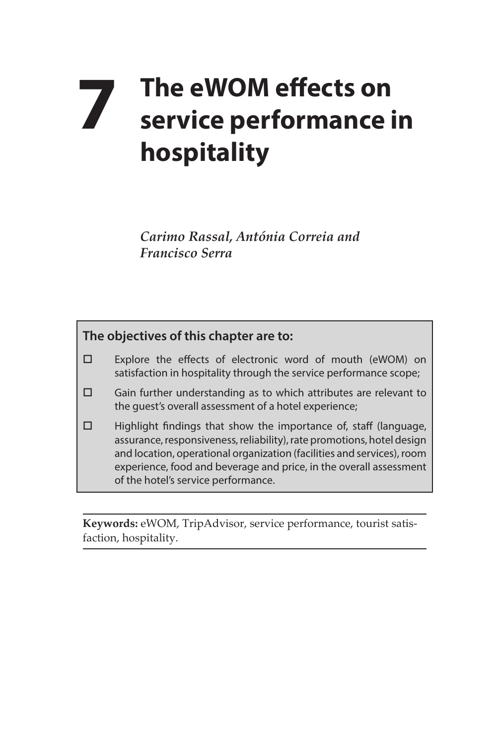# **7** The eWOM effects on<br>service performance i **service performance in hospitality**

*Carimo Rassal, Antónia Correia and Francisco Serra*

### **The objectives of this chapter are to:**

- Explore the effects of electronic word of mouth (eWOM) on satisfaction in hospitality through the service performance scope;
- $\square$  Gain further understanding as to which attributes are relevant to the guest's overall assessment of a hotel experience;
- $\Box$  Highlight findings that show the importance of, staff (language, assurance, responsiveness, reliability), rate promotions, hotel design and location, operational organization (facilities and services), room experience, food and beverage and price, in the overall assessment of the hotel's service performance.

**Keywords:** eWOM, TripAdvisor, service performance, tourist satisfaction, hospitality.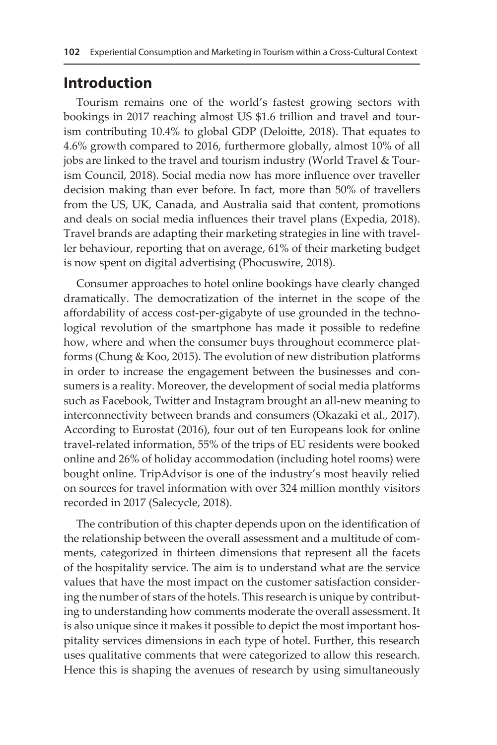### **Introduction**

Tourism remains one of the world's fastest growing sectors with bookings in 2017 reaching almost US \$1.6 trillion and travel and tourism contributing 10.4% to global GDP (Deloitte, 2018). That equates to 4.6% growth compared to 2016, furthermore globally, almost 10% of all jobs are linked to the travel and tourism industry (World Travel & Tourism Council, 2018). Social media now has more influence over traveller decision making than ever before. In fact, more than 50% of travellers from the US, UK, Canada, and Australia said that content, promotions and deals on social media influences their travel plans (Expedia, 2018). Travel brands are adapting their marketing strategies in line with traveller behaviour, reporting that on average, 61% of their marketing budget is now spent on digital advertising (Phocuswire, 2018).

Consumer approaches to hotel online bookings have clearly changed dramatically. The democratization of the internet in the scope of the affordability of access cost-per-gigabyte of use grounded in the technological revolution of the smartphone has made it possible to redefine how, where and when the consumer buys throughout ecommerce platforms (Chung & Koo, 2015). The evolution of new distribution platforms in order to increase the engagement between the businesses and consumers is a reality. Moreover, the development of social media platforms such as Facebook, Twitter and Instagram brought an all-new meaning to interconnectivity between brands and consumers (Okazaki et al., 2017). According to Eurostat (2016), four out of ten Europeans look for online travel-related information, 55% of the trips of EU residents were booked online and 26% of holiday accommodation (including hotel rooms) were bought online. TripAdvisor is one of the industry's most heavily relied on sources for travel information with over 324 million monthly visitors recorded in 2017 (Salecycle, 2018).

The contribution of this chapter depends upon on the identification of the relationship between the overall assessment and a multitude of comments, categorized in thirteen dimensions that represent all the facets of the hospitality service. The aim is to understand what are the service values that have the most impact on the customer satisfaction considering the number of stars of the hotels. This research is unique by contributing to understanding how comments moderate the overall assessment. It is also unique since it makes it possible to depict the most important hospitality services dimensions in each type of hotel. Further, this research uses qualitative comments that were categorized to allow this research. Hence this is shaping the avenues of research by using simultaneously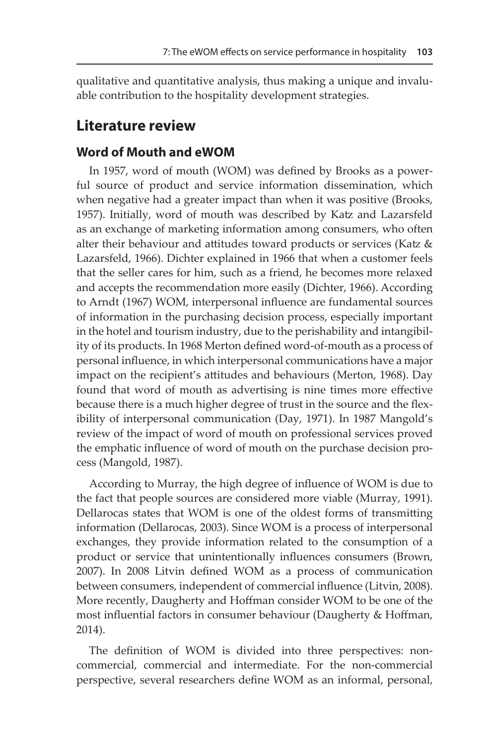qualitative and quantitative analysis, thus making a unique and invaluable contribution to the hospitality development strategies.

## **Literature review**

#### **Word of Mouth and eWOM**

In 1957, word of mouth (WOM) was defined by Brooks as a powerful source of product and service information dissemination, which when negative had a greater impact than when it was positive (Brooks, 1957). Initially, word of mouth was described by Katz and Lazarsfeld as an exchange of marketing information among consumers, who often alter their behaviour and attitudes toward products or services (Katz & Lazarsfeld, 1966). Dichter explained in 1966 that when a customer feels that the seller cares for him, such as a friend, he becomes more relaxed and accepts the recommendation more easily (Dichter, 1966). According to Arndt (1967) WOM, interpersonal influence are fundamental sources of information in the purchasing decision process, especially important in the hotel and tourism industry, due to the perishability and intangibility of its products. In 1968 Merton defined word-of-mouth as a process of personal influence, in which interpersonal communications have a major impact on the recipient's attitudes and behaviours (Merton, 1968). Day found that word of mouth as advertising is nine times more effective because there is a much higher degree of trust in the source and the flexibility of interpersonal communication (Day, 1971). In 1987 Mangold's review of the impact of word of mouth on professional services proved the emphatic influence of word of mouth on the purchase decision process (Mangold, 1987).

According to Murray, the high degree of influence of WOM is due to the fact that people sources are considered more viable (Murray, 1991). Dellarocas states that WOM is one of the oldest forms of transmitting information (Dellarocas, 2003). Since WOM is a process of interpersonal exchanges, they provide information related to the consumption of a product or service that unintentionally influences consumers (Brown, 2007). In 2008 Litvin defined WOM as a process of communication between consumers, independent of commercial influence (Litvin, 2008). More recently, Daugherty and Hoffman consider WOM to be one of the most influential factors in consumer behaviour (Daugherty & Hoffman, 2014).

The definition of WOM is divided into three perspectives: noncommercial, commercial and intermediate. For the non-commercial perspective, several researchers define WOM as an informal, personal,